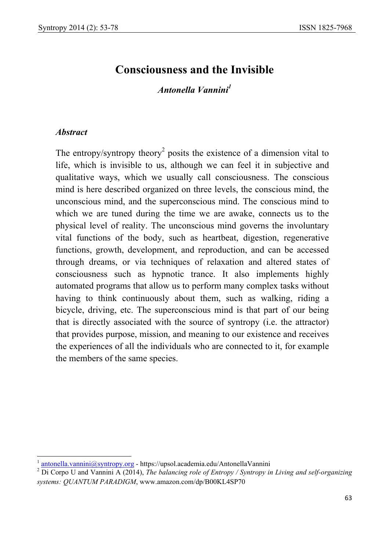# **Consciousness and the Invisible**

### *Antonella Vannini1*

#### *Abstract*

The entropy/syntropy theory<sup>2</sup> posits the existence of a dimension vital to life, which is invisible to us, although we can feel it in subjective and qualitative ways, which we usually call consciousness. The conscious mind is here described organized on three levels, the conscious mind, the unconscious mind, and the superconscious mind. The conscious mind to which we are tuned during the time we are awake, connects us to the physical level of reality. The unconscious mind governs the involuntary vital functions of the body, such as heartbeat, digestion, regenerative functions, growth, development, and reproduction, and can be accessed through dreams, or via techniques of relaxation and altered states of consciousness such as hypnotic trance. It also implements highly automated programs that allow us to perform many complex tasks without having to think continuously about them, such as walking, riding a bicycle, driving, etc. The superconscious mind is that part of our being that is directly associated with the source of syntropy (i.e. the attractor) that provides purpose, mission, and meaning to our existence and receives the experiences of all the individuals who are connected to it, for example the members of the same species.

 $\overline{\phantom{a}}$  $antonella.vannini@syntropy.org - https://upsol.academia.edu/AntonellaVannini$ 

<sup>&</sup>lt;sup>2</sup> Di Corpo U and Vannini A (2014), *The balancing role of Entropy / Syntropy in Living and self-organizing systems: QUANTUM PARADIGM*, www.amazon.com/dp/B00KL4SP70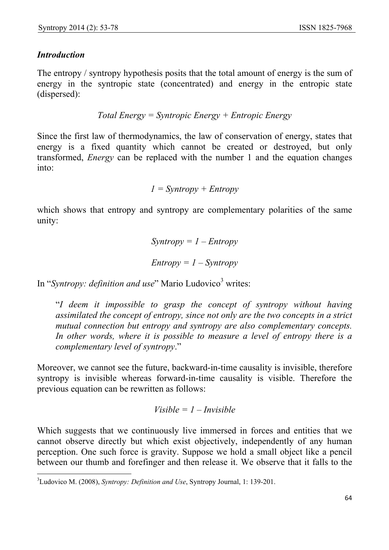#### *Introduction*

 $\overline{\phantom{a}}$ 

The entropy / syntropy hypothesis posits that the total amount of energy is the sum of energy in the syntropic state (concentrated) and energy in the entropic state (dispersed):

$$
Total Energy = Syntropic Energy + Entropic Energy
$$

Since the first law of thermodynamics, the law of conservation of energy, states that energy is a fixed quantity which cannot be created or destroyed, but only transformed, *Energy* can be replaced with the number 1 and the equation changes into:

*1 = Syntropy + Entropy* 

which shows that entropy and syntropy are complementary polarities of the same unity:

> *Syntropy = 1 – Entropy Entropy = 1 – Syntropy*

In "*Syntropy: definition and use*" Mario Ludovico<sup>3</sup> writes:

"*I deem it impossible to grasp the concept of syntropy without having assimilated the concept of entropy, since not only are the two concepts in a strict mutual connection but entropy and syntropy are also complementary concepts. In other words, where it is possible to measure a level of entropy there is a complementary level of syntropy*."

Moreover, we cannot see the future, backward-in-time causality is invisible, therefore syntropy is invisible whereas forward-in-time causality is visible. Therefore the previous equation can be rewritten as follows:

$$
Visible = 1 - Invisible
$$

Which suggests that we continuously live immersed in forces and entities that we cannot observe directly but which exist objectively, independently of any human perception. One such force is gravity. Suppose we hold a small object like a pencil between our thumb and forefinger and then release it. We observe that it falls to the

<sup>3</sup> Ludovico M. (2008), *Syntropy: Definition and Use*, Syntropy Journal, 1: 139-201.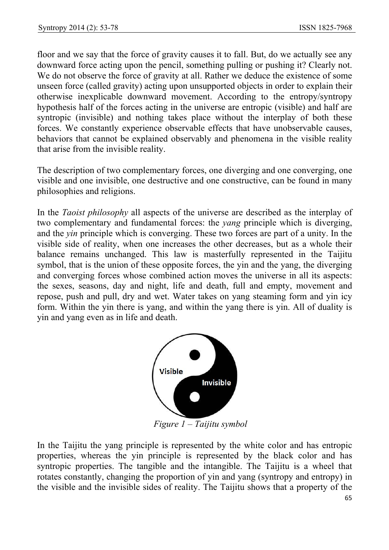floor and we say that the force of gravity causes it to fall. But, do we actually see any downward force acting upon the pencil, something pulling or pushing it? Clearly not. We do not observe the force of gravity at all. Rather we deduce the existence of some unseen force (called gravity) acting upon unsupported objects in order to explain their otherwise inexplicable downward movement. According to the entropy/syntropy hypothesis half of the forces acting in the universe are entropic (visible) and half are syntropic (invisible) and nothing takes place without the interplay of both these forces. We constantly experience observable effects that have unobservable causes, behaviors that cannot be explained observably and phenomena in the visible reality that arise from the invisible reality.

The description of two complementary forces, one diverging and one converging, one visible and one invisible, one destructive and one constructive, can be found in many philosophies and religions.

In the *Taoist philosophy* all aspects of the universe are described as the interplay of two complementary and fundamental forces: the *yang* principle which is diverging, and the *yin* principle which is converging. These two forces are part of a unity. In the visible side of reality, when one increases the other decreases, but as a whole their balance remains unchanged. This law is masterfully represented in the Taijitu symbol, that is the union of these opposite forces, the yin and the yang, the diverging and converging forces whose combined action moves the universe in all its aspects: the sexes, seasons, day and night, life and death, full and empty, movement and repose, push and pull, dry and wet. Water takes on yang steaming form and yin icy form. Within the yin there is yang, and within the yang there is yin. All of duality is yin and yang even as in life and death.



*Figure 1 – Taijitu symbol* 

In the Taijitu the yang principle is represented by the white color and has entropic properties, whereas the yin principle is represented by the black color and has syntropic properties. The tangible and the intangible. The Taijitu is a wheel that rotates constantly, changing the proportion of yin and yang (syntropy and entropy) in the visible and the invisible sides of reality. The Taijitu shows that a property of the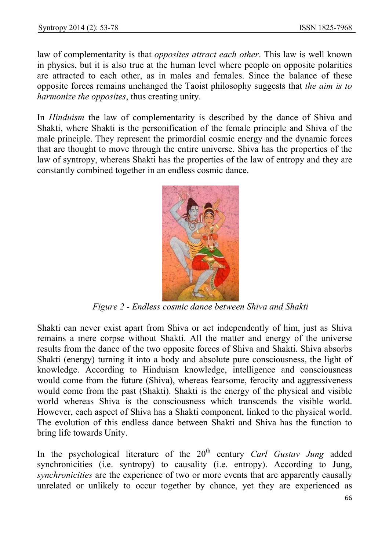law of complementarity is that *opposites attract each other*. This law is well known in physics, but it is also true at the human level where people on opposite polarities are attracted to each other, as in males and females. Since the balance of these opposite forces remains unchanged the Taoist philosophy suggests that *the aim is to harmonize the opposites*, thus creating unity.

In *Hinduism* the law of complementarity is described by the dance of Shiva and Shakti, where Shakti is the personification of the female principle and Shiva of the male principle. They represent the primordial cosmic energy and the dynamic forces that are thought to move through the entire universe. Shiva has the properties of the law of syntropy, whereas Shakti has the properties of the law of entropy and they are constantly combined together in an endless cosmic dance.



*Figure 2 - Endless cosmic dance between Shiva and Shakti* 

Shakti can never exist apart from Shiva or act independently of him, just as Shiva remains a mere corpse without Shakti. All the matter and energy of the universe results from the dance of the two opposite forces of Shiva and Shakti. Shiva absorbs Shakti (energy) turning it into a body and absolute pure consciousness, the light of knowledge. According to Hinduism knowledge, intelligence and consciousness would come from the future (Shiva), whereas fearsome, ferocity and aggressiveness would come from the past (Shakti). Shakti is the energy of the physical and visible world whereas Shiva is the consciousness which transcends the visible world. However, each aspect of Shiva has a Shakti component, linked to the physical world. The evolution of this endless dance between Shakti and Shiva has the function to bring life towards Unity.

In the psychological literature of the 20<sup>th</sup> century *Carl Gustav Jung* added synchronicities (i.e. syntropy) to causality (i.e. entropy). According to Jung, *synchronicities* are the experience of two or more events that are apparently causally unrelated or unlikely to occur together by chance, yet they are experienced as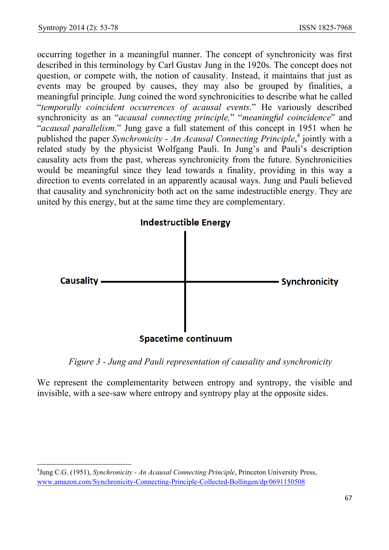$\overline{\phantom{a}}$ 

occurring together in a meaningful manner. The concept of synchronicity was first described in this terminology by Carl Gustav Jung in the 1920s. The concept does not question, or compete with, the notion of causality. Instead, it maintains that just as events may be grouped by causes, they may also be grouped by finalities, a meaningful principle. Jung coined the word synchronicities to describe what he called "*temporally coincident occurrences of acausal events*." He variously described synchronicity as an "*acausal connecting principle,*" "*meaningful coincidence*" and "*acausal parallelism.*" Jung gave a full statement of this concept in 1951 when he published the paper *Synchronicity - An Acausal Connecting Principle*,<sup>4</sup> jointly with a related study by the physicist Wolfgang Pauli. In Jung's and Pauli's description causality acts from the past, whereas synchronicity from the future. Synchronicities would be meaningful since they lead towards a finality, providing in this way a direction to events correlated in an apparently acausal ways. Jung and Pauli believed that causality and synchronicity both act on the same indestructible energy. They are united by this energy, but at the same time they are complementary.



*Figure 3 - Jung and Pauli representation of causality and synchronicity* 

We represent the complementarity between entropy and syntropy, the visible and invisible, with a see-saw where entropy and syntropy play at the opposite sides.

<sup>&</sup>lt;sup>4</sup> Jung C.G. (1951), *Synchronicity - An Acausal Connecting Principle*, Princeton University Press, www.amazon.com/Synchronicity-Connecting-Principle-Collected-Bollingen/dp/0691150508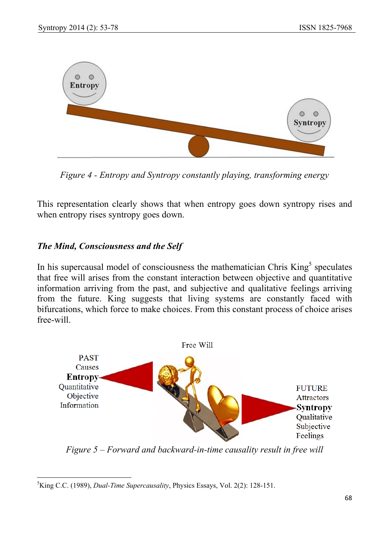

*Figure 4 - Entropy and Syntropy constantly playing, transforming energy* 

This representation clearly shows that when entropy goes down syntropy rises and when entropy rises syntropy goes down.

#### *The Mind, Consciousness and the Self*

In his supercausal model of consciousness the mathematician Chris King<sup>5</sup> speculates that free will arises from the constant interaction between objective and quantitative information arriving from the past, and subjective and qualitative feelings arriving from the future. King suggests that living systems are constantly faced with bifurcations, which force to make choices. From this constant process of choice arises free-will.



*Figure 5 – Forward and backward-in-time causality result in free will* 

 $\overline{\phantom{a}}$ 5 King C.C. (1989), *Dual-Time Supercausality*, Physics Essays, Vol. 2(2): 128-151.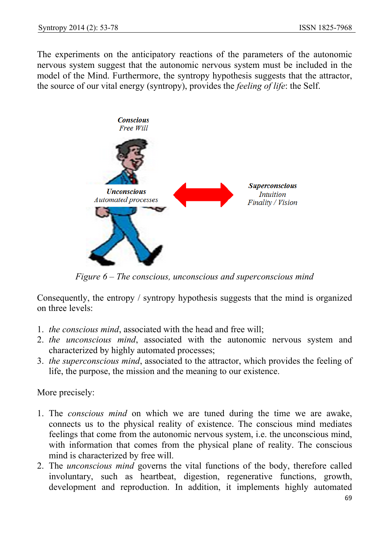The experiments on the anticipatory reactions of the parameters of the autonomic nervous system suggest that the autonomic nervous system must be included in the model of the Mind. Furthermore, the syntropy hypothesis suggests that the attractor, the source of our vital energy (syntropy), provides the *feeling of life*: the Self.



*Figure 6 – The conscious, unconscious and superconscious mind* 

Consequently, the entropy / syntropy hypothesis suggests that the mind is organized on three levels:

- 1. *the conscious mind*, associated with the head and free will;
- 2. *the unconscious mind*, associated with the autonomic nervous system and characterized by highly automated processes;
- 3. *the superconscious mind*, associated to the attractor, which provides the feeling of life, the purpose, the mission and the meaning to our existence.

#### More precisely:

- 1. The *conscious mind* on which we are tuned during the time we are awake, connects us to the physical reality of existence. The conscious mind mediates feelings that come from the autonomic nervous system, i.e. the unconscious mind, with information that comes from the physical plane of reality. The conscious mind is characterized by free will.
- 2. The *unconscious mind* governs the vital functions of the body, therefore called involuntary, such as heartbeat, digestion, regenerative functions, growth, development and reproduction. In addition, it implements highly automated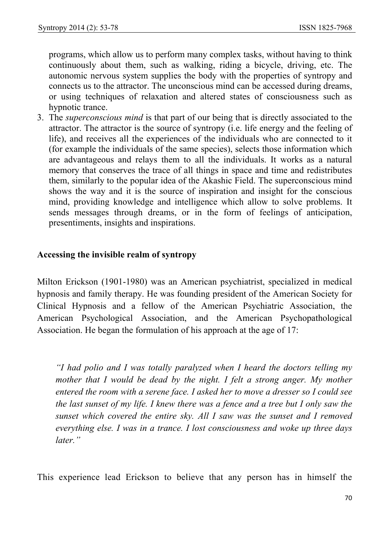programs, which allow us to perform many complex tasks, without having to think continuously about them, such as walking, riding a bicycle, driving, etc. The autonomic nervous system supplies the body with the properties of syntropy and connects us to the attractor. The unconscious mind can be accessed during dreams, or using techniques of relaxation and altered states of consciousness such as hypnotic trance.

3. The *superconscious mind* is that part of our being that is directly associated to the attractor. The attractor is the source of syntropy (i.e. life energy and the feeling of life), and receives all the experiences of the individuals who are connected to it (for example the individuals of the same species), selects those information which are advantageous and relays them to all the individuals. It works as a natural memory that conserves the trace of all things in space and time and redistributes them, similarly to the popular idea of the Akashic Field. The superconscious mind shows the way and it is the source of inspiration and insight for the conscious mind, providing knowledge and intelligence which allow to solve problems. It sends messages through dreams, or in the form of feelings of anticipation, presentiments, insights and inspirations.

#### **Accessing the invisible realm of syntropy**

Milton Erickson (1901-1980) was an American psychiatrist, specialized in medical hypnosis and family therapy. He was founding president of the American Society for Clinical Hypnosis and a fellow of the American Psychiatric Association, the American Psychological Association, and the American Psychopathological Association. He began the formulation of his approach at the age of 17:

*"I had polio and I was totally paralyzed when I heard the doctors telling my mother that I would be dead by the night. I felt a strong anger. My mother entered the room with a serene face. I asked her to move a dresser so I could see the last sunset of my life. I knew there was a fence and a tree but I only saw the sunset which covered the entire sky. All I saw was the sunset and I removed everything else. I was in a trance. I lost consciousness and woke up three days later."*

This experience lead Erickson to believe that any person has in himself the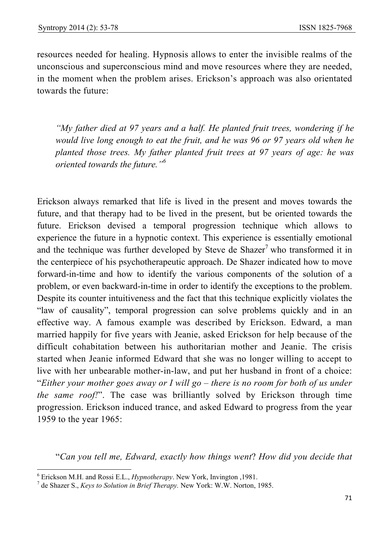resources needed for healing. Hypnosis allows to enter the invisible realms of the unconscious and superconscious mind and move resources where they are needed, in the moment when the problem arises. Erickson's approach was also orientated towards the future:

*"My father died at 97 years and a half. He planted fruit trees, wondering if he would live long enough to eat the fruit, and he was 96 or 97 years old when he planted those trees. My father planted fruit trees at 97 years of age: he was oriented towards the future."<sup>6</sup>*

Erickson always remarked that life is lived in the present and moves towards the future, and that therapy had to be lived in the present, but be oriented towards the future. Erickson devised a temporal progression technique which allows to experience the future in a hypnotic context. This experience is essentially emotional and the technique was further developed by Steve de Shazer<sup>7</sup> who transformed it in the centerpiece of his psychotherapeutic approach. De Shazer indicated how to move forward-in-time and how to identify the various components of the solution of a problem, or even backward-in-time in order to identify the exceptions to the problem. Despite its counter intuitiveness and the fact that this technique explicitly violates the "law of causality", temporal progression can solve problems quickly and in an effective way. A famous example was described by Erickson. Edward, a man married happily for five years with Jeanie, asked Erickson for help because of the difficult cohabitation between his authoritarian mother and Jeanie. The crisis started when Jeanie informed Edward that she was no longer willing to accept to live with her unbearable mother-in-law, and put her husband in front of a choice: "*Either your mother goes away or I will go – there is no room for both of us under the same roof!*". The case was brilliantly solved by Erickson through time progression. Erickson induced trance, and asked Edward to progress from the year 1959 to the year 1965:

"*Can you tell me, Edward, exactly how things went*? *How did you decide that* 

 6 Erickson M.H. and Rossi E.L., *Hypnotherapy*. New York, Invington ,1981.

<sup>7</sup> de Shazer S., *Keys to Solution in Brief Therapy.* New York: W.W. Norton, 1985.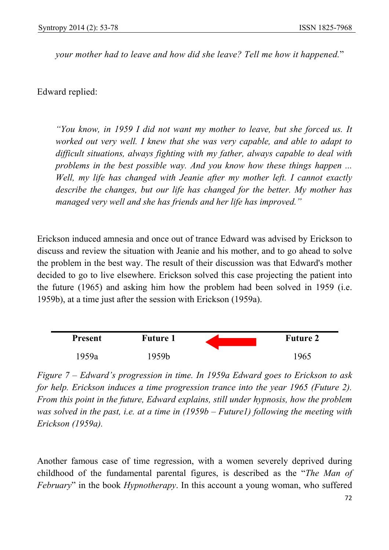*your mother had to leave and how did she leave? Tell me how it happened.*"

Edward replied:

*"You know, in 1959 I did not want my mother to leave, but she forced us. It worked out very well. I knew that she was very capable, and able to adapt to difficult situations, always fighting with my father, always capable to deal with problems in the best possible way. And you know how these things happen ... Well, my life has changed with Jeanie after my mother left. I cannot exactly describe the changes, but our life has changed for the better. My mother has managed very well and she has friends and her life has improved."*

Erickson induced amnesia and once out of trance Edward was advised by Erickson to discuss and review the situation with Jeanie and his mother, and to go ahead to solve the problem in the best way. The result of their discussion was that Edward's mother decided to go to live elsewhere. Erickson solved this case projecting the patient into the future (1965) and asking him how the problem had been solved in 1959 (i.e. 1959b), at a time just after the session with Erickson (1959a).



*Figure 7 – Edward's progression in time. In 1959a Edward goes to Erickson to ask for help. Erickson induces a time progression trance into the year 1965 (Future 2). From this point in the future, Edward explains, still under hypnosis, how the problem was solved in the past, i.e. at a time in (1959b – Future1) following the meeting with Erickson (1959a).* 

Another famous case of time regression, with a women severely deprived during childhood of the fundamental parental figures, is described as the "*The Man of February*" in the book *Hypnotherapy*. In this account a young woman, who suffered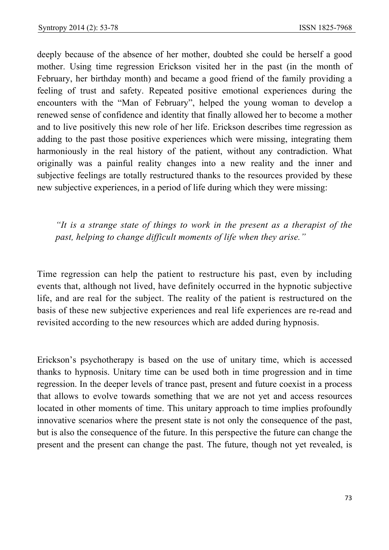deeply because of the absence of her mother, doubted she could be herself a good mother. Using time regression Erickson visited her in the past (in the month of February, her birthday month) and became a good friend of the family providing a feeling of trust and safety. Repeated positive emotional experiences during the encounters with the "Man of February", helped the young woman to develop a renewed sense of confidence and identity that finally allowed her to become a mother and to live positively this new role of her life. Erickson describes time regression as adding to the past those positive experiences which were missing, integrating them harmoniously in the real history of the patient, without any contradiction. What originally was a painful reality changes into a new reality and the inner and subjective feelings are totally restructured thanks to the resources provided by these new subjective experiences, in a period of life during which they were missing:

*"It is a strange state of things to work in the present as a therapist of the past, helping to change difficult moments of life when they arise."*

Time regression can help the patient to restructure his past, even by including events that, although not lived, have definitely occurred in the hypnotic subjective life, and are real for the subject. The reality of the patient is restructured on the basis of these new subjective experiences and real life experiences are re-read and revisited according to the new resources which are added during hypnosis.

Erickson's psychotherapy is based on the use of unitary time, which is accessed thanks to hypnosis. Unitary time can be used both in time progression and in time regression. In the deeper levels of trance past, present and future coexist in a process that allows to evolve towards something that we are not yet and access resources located in other moments of time. This unitary approach to time implies profoundly innovative scenarios where the present state is not only the consequence of the past, but is also the consequence of the future. In this perspective the future can change the present and the present can change the past. The future, though not yet revealed, is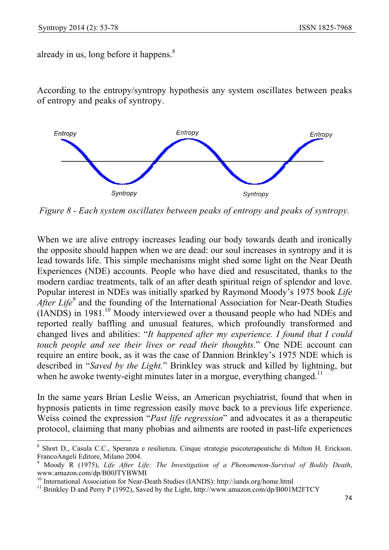$\overline{\phantom{a}}$ 

already in us, long before it happens.<sup>8</sup>

According to the entropy/syntropy hypothesis any system oscillates between peaks of entropy and peaks of syntropy.



*Figure 8 - Each system oscillates between peaks of entropy and peaks of syntropy.* 

When we are alive entropy increases leading our body towards death and ironically the opposite should happen when we are dead: our soul increases in syntropy and it is lead towards life. This simple mechanisms might shed some light on the Near Death Experiences (NDE) accounts. People who have died and resuscitated, thanks to the modern cardiac treatments, talk of an after death spiritual reign of splendor and love. Popular interest in NDEs was initially sparked by Raymond Moody's 1975 book *Life After Life<sup>9</sup>* and the founding of the International Association for Near-Death Studies  $(IANDS)$  in 1981.<sup>10</sup> Moody interviewed over a thousand people who had NDEs and reported really baffling and unusual features, which profoundly transformed and changed lives and abilities: "*It happened after my experience. I found that I could touch people and see their lives or read their thoughts.*" One NDE account can require an entire book, as it was the case of Dannion Brinkley's 1975 NDE which is described in "*Saved by the Light.*" Brinkley was struck and killed by lightning, but when he awoke twenty-eight minutes later in a morgue, everything changed.<sup>11</sup>

In the same years Brian Leslie Weiss, an American psychiatrist, found that when in hypnosis patients in time regression easily move back to a previous life experience. Weiss coined the expression "*Past life regression*" and advocates it as a therapeutic protocol, claiming that many phobias and ailments are rooted in past-life experiences

<sup>8</sup> Short D., Casula C.C., Speranza e resilienza. Cinque strategie psicoterapeutiche di Milton H. Erickson. FrancoAngeli Editore, Milano 2004.

<sup>9</sup> Moody R (1975), *Life After Life: The Investigation of a Phenomenon-Survival of Bodily Death*, www.amazon.com/dp/B00JTYBWMI

<sup>&</sup>lt;sup>10</sup> International Association for Near-Death Studies (IANDS): http://iands.org/home.html

<sup>&</sup>lt;sup>11</sup> Brinkley D and Perry P (1992), Saved by the Light, http://www.amazon.com/dp/B001M2FTCY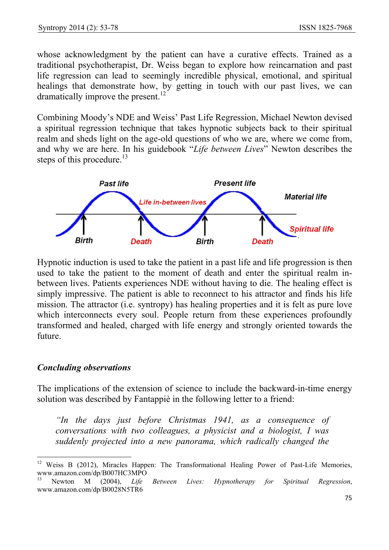whose acknowledgment by the patient can have a curative effects. Trained as a traditional psychotherapist, Dr. Weiss began to explore how reincarnation and past life regression can lead to seemingly incredible physical, emotional, and spiritual healings that demonstrate how, by getting in touch with our past lives, we can dramatically improve the present. $^{12}$ 

Combining Moody's NDE and Weiss' Past Life Regression, Michael Newton devised a spiritual regression technique that takes hypnotic subjects back to their spiritual realm and sheds light on the age-old questions of who we are, where we come from, and why we are here. In his guidebook "*Life between Lives*" Newton describes the steps of this procedure.<sup>13</sup>



Hypnotic induction is used to take the patient in a past life and life progression is then used to take the patient to the moment of death and enter the spiritual realm inbetween lives. Patients experiences NDE without having to die. The healing effect is simply impressive. The patient is able to reconnect to his attractor and finds his life mission. The attractor (i.e. syntropy) has healing properties and it is felt as pure love which interconnects every soul. People return from these experiences profoundly transformed and healed, charged with life energy and strongly oriented towards the future.

#### *Concluding observations*

The implications of the extension of science to include the backward-in-time energy solution was described by Fantappiè in the following letter to a friend:

*"In the days just before Christmas 1941, as a consequence of conversations with two colleagues, a physicist and a biologist, I was suddenly projected into a new panorama, which radically changed the* 

 $12$ Weiss B (2012), Miracles Happen: The Transformational Healing Power of Past-Life Memories, www.amazon.com/dp/B007HC3MPO

<sup>13</sup> Newton M (2004), *Life Between Lives: Hypnotherapy for Spiritual Regression*, www.amazon.com/dp/B0028N5TR6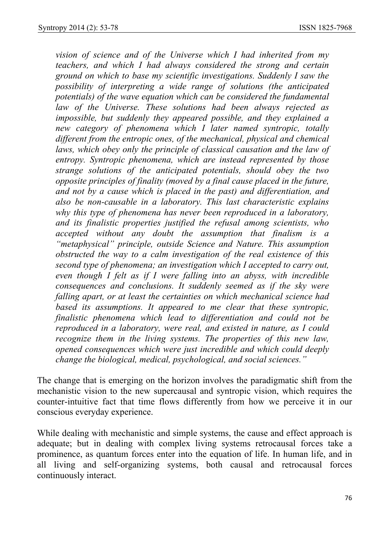*vision of science and of the Universe which I had inherited from my teachers, and which I had always considered the strong and certain ground on which to base my scientific investigations. Suddenly I saw the possibility of interpreting a wide range of solutions (the anticipated potentials) of the wave equation which can be considered the fundamental law of the Universe. These solutions had been always rejected as impossible, but suddenly they appeared possible, and they explained a new category of phenomena which I later named syntropic, totally different from the entropic ones, of the mechanical, physical and chemical*  laws, which obey only the principle of classical causation and the law of *entropy. Syntropic phenomena, which are instead represented by those strange solutions of the anticipated potentials, should obey the two opposite principles of finality (moved by a final cause placed in the future, and not by a cause which is placed in the past) and differentiation, and also be non-causable in a laboratory. This last characteristic explains why this type of phenomena has never been reproduced in a laboratory, and its finalistic properties justified the refusal among scientists, who accepted without any doubt the assumption that finalism is a "metaphysical" principle, outside Science and Nature. This assumption obstructed the way to a calm investigation of the real existence of this second type of phenomena; an investigation which I accepted to carry out, even though I felt as if I were falling into an abyss, with incredible consequences and conclusions. It suddenly seemed as if the sky were falling apart, or at least the certainties on which mechanical science had based its assumptions. It appeared to me clear that these syntropic, finalistic phenomena which lead to differentiation and could not be reproduced in a laboratory, were real, and existed in nature, as I could recognize them in the living systems. The properties of this new law, opened consequences which were just incredible and which could deeply change the biological, medical, psychological, and social sciences."* 

The change that is emerging on the horizon involves the paradigmatic shift from the mechanistic vision to the new supercausal and syntropic vision, which requires the counter-intuitive fact that time flows differently from how we perceive it in our conscious everyday experience.

While dealing with mechanistic and simple systems, the cause and effect approach is adequate; but in dealing with complex living systems retrocausal forces take a prominence, as quantum forces enter into the equation of life. In human life, and in all living and self-organizing systems, both causal and retrocausal forces continuously interact.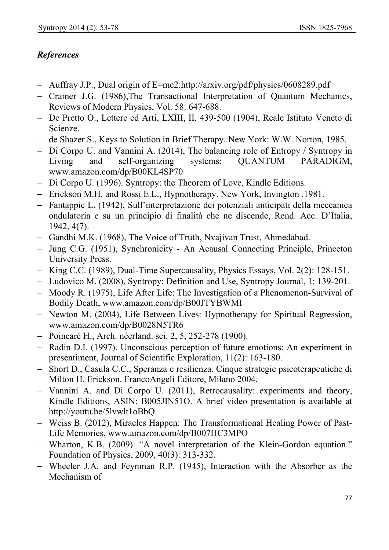## *References*

- − Auffray J.P., Dual origin of E=mc2:http://arxiv.org/pdf/physics/0608289.pdf
- − Cramer J.G. (1986),The Transactional Interpretation of Quantum Mechanics, Reviews of Modern Physics, Vol. 58: 647-688.
- − De Pretto O., Lettere ed Arti, LXIII, II, 439-500 (1904), Reale Istituto Veneto di Scienze.
- − de Shazer S., Keys to Solution in Brief Therapy. New York: W.W. Norton, 1985.
- − Di Corpo U. and Vannini A. (2014), The balancing role of Entropy / Syntropy in Living and self-organizing systems: QUANTUM PARADIGM, www.amazon.com/dp/B00KL4SP70
- − Di Corpo U. (1996). Syntropy: the Theorem of Love, Kindle Editions.
- − Erickson M.H. and Rossi E.L., Hypnotherapy. New York, Invington ,1981.
- − Fantappiè L. (1942), Sull'interpretazione dei potenziali anticipati della meccanica ondulatoria e su un principio di finalità che ne discende, Rend. Acc. D'Italia, 1942, 4(7).
- − Gandhi M.K. (1968), The Voice of Truth, Nvajivan Trust, Ahmedabad.
- − Jung C.G. (1951), Synchronicity An Acausal Connecting Principle, Princeton University Press.
- − King C.C. (1989), Dual-Time Supercausality, Physics Essays, Vol. 2(2): 128-151.
- − Ludovico M. (2008), Syntropy: Definition and Use, Syntropy Journal, 1: 139-201.
- − Moody R. (1975), Life After Life: The Investigation of a Phenomenon-Survival of Bodily Death, www.amazon.com/dp/B00JTYBWMI
- − Newton M. (2004), Life Between Lives: Hypnotherapy for Spiritual Regression, www.amazon.com/dp/B0028N5TR6
- − Poincaré H., Arch. néerland. sci. 2, 5, 252-278 (1900).
- − Radin D.I. (1997), Unconscious perception of future emotions: An experiment in presentiment, Journal of Scientific Exploration, 11(2): 163-180.
- − Short D., Casula C.C., Speranza e resilienza. Cinque strategie psicoterapeutiche di Milton H. Erickson. FrancoAngeli Editore, Milano 2004.
- − Vannini A. and Di Corpo U. (2011), Retrocausality: experiments and theory, Kindle Editions, ASIN: B005JIN51O. A brief video presentation is available at http://youtu.be/5lvwlt1oBbQ.
- − Weiss B. (2012), Miracles Happen: The Transformational Healing Power of Past-Life Memories, www.amazon.com/dp/B007HC3MPO
- − Wharton, K.B. (2009). "A novel interpretation of the Klein-Gordon equation." Foundation of Physics, 2009, 40(3): 313-332.
- − Wheeler J.A. and Feynman R.P. (1945), Interaction with the Absorber as the Mechanism of